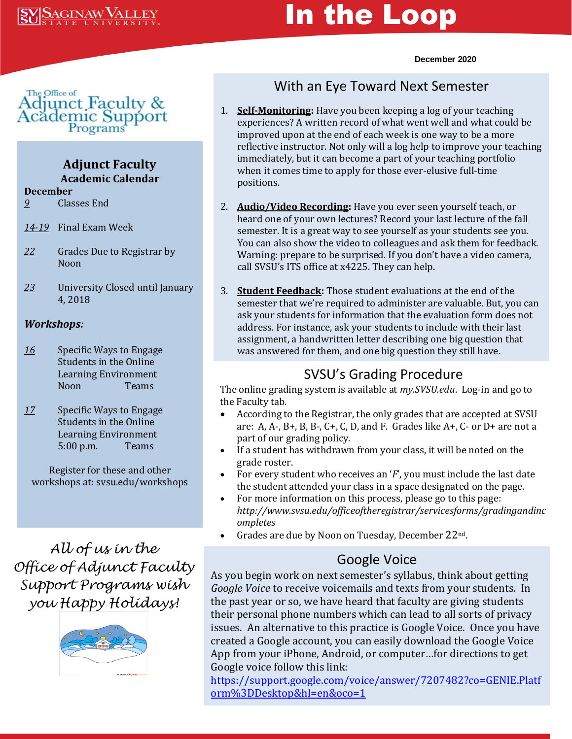# In the Loop

#### **December 2020**



## **Adjunct Faculty Academic Calendar**

#### **December**

- *9* Classes End
- *14-19* Final Exam Week
- *22* Grades Due to Registrar by Noon
- *23* University Closed until January 4, 2018

### *Workshops:*

- *16* Specific Ways to Engage Students in the Online Learning Environment Noon Teams
- *17* Specific Ways to Engage Students in the Online Learning Environment 5:00 p.m. Teams

Register for these and other workshops at: svsu.edu/workshops

*All of us in the Office of Adjunct Faculty Support Programs wish you Happy Holidays!*



# With an Eye Toward Next Semester

- 1. **Self-Monitoring:** Have you been keeping a log of your teaching experiences? A written record of what went well and what could be improved upon at the end of each week is one way to be a more reflective instructor. Not only will a log help to improve your teaching immediately, but it can become a part of your teaching portfolio when it comes time to apply for those ever-elusive full-time positions.
- 2. **Audio/Video Recording:** Have you ever seen yourself teach, or heard one of your own lectures? Record your last lecture of the fall semester. It is a great way to see yourself as your students see you. You can also show the video to colleagues and ask them for feedback. Warning: prepare to be surprised. If you don't have a video camera, call SVSU's ITS office at x4225. They can help.
- 3. **Student Feedback:** Those student evaluations at the end of the semester that we're required to administer are valuable. But, you can ask your students for information that the evaluation form does not address. For instance, ask your students to include with their last assignment, a handwritten letter describing one big question that was answered for them, and one big question they still have.

## SVSU's Grading Procedure

The online grading system is available at *my.SVSU.edu*. Log-in and go to the Faculty tab.

- According to the Registrar, the only grades that are accepted at SVSU are: A, A-, B+, B, B-, C+, C, D, and F. Grades like  $A+$ , C- or D+ are not a part of our grading policy.
- If a student has withdrawn from your class, it will be noted on the grade roster.
- For every student who receives an '*F*', you must include the last date the student attended your class in a space designated on the page.
- For more information on this process, please go to this page: *http://www.svsu.edu/officeoftheregistrar/servicesforms/gradingandinc ompletes*
- Grades are due by Noon on Tuesday, December 22nd.

# Google Voice

As you begin work on next semester's syllabus, think about getting *Google Voice* to receive voicemails and texts from your students. In the past year or so, we have heard that faculty are giving students their personal phone numbers which can lead to all sorts of privacy issues. An alternative to this practice is Google Voice. Once you have created a Google account, you can easily download the Google Voice App from your iPhone, Android, or computer…for directions to get Google voice follow this link:

[https://support.google.com/voice/answer/7207482?co=GENIE.Platf](https://support.google.com/voice/answer/7207482?co=GENIE.Platform%3DDesktop&hl=en&oco=1) [orm%3DDesktop&hl=en&oco=1](https://support.google.com/voice/answer/7207482?co=GENIE.Platform%3DDesktop&hl=en&oco=1)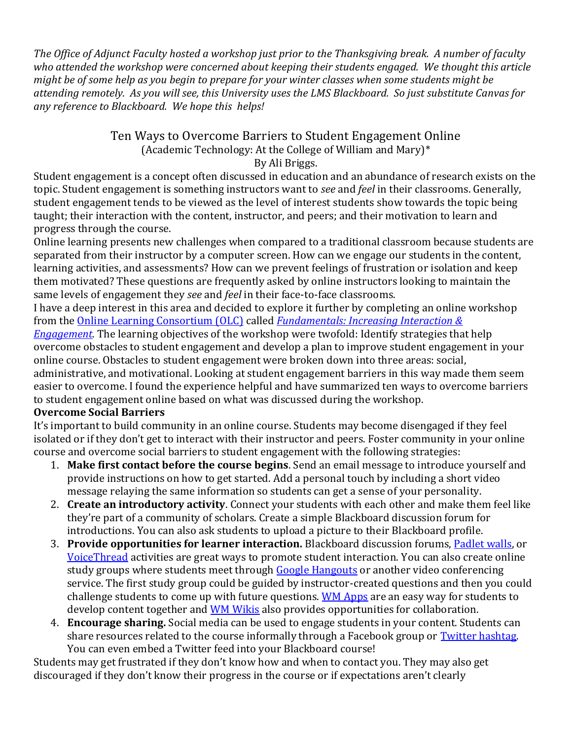*The Office of Adjunct Faculty hosted a workshop just prior to the Thanksgiving break. A number of faculty who attended the workshop were concerned about keeping their students engaged. We thought this article might be of some help as you begin to prepare for your winter classes when some students might be attending remotely. As you will see, this University uses the LMS Blackboard. So just substitute Canvas for any reference to Blackboard. We hope this helps!*

#### Ten Ways to Overcome Barriers to Student Engagement Online (Academic Technology: At the College of William and Mary)\* By Ali Briggs.

Student engagement is a concept often discussed in education and an abundance of research exists on the topic. Student engagement is something instructors want to *see* and *feel* in their classrooms. Generally, student engagement tends to be viewed as the level of interest students show towards the topic being taught; their interaction with the content, instructor, and peers; and their motivation to learn and progress through the course.

Online learning presents new challenges when compared to a traditional classroom because students are separated from their instructor by a computer screen. How can we engage our students in the content, learning activities, and assessments? How can we prevent feelings of frustration or isolation and keep them motivated? These questions are frequently asked by online instructors looking to maintain the same levels of engagement they *see* and *feel* in their face-to-face classrooms.

I have a deep interest in this area and decided to explore it further by completing an online workshop from the [Online Learning Consortium \(OLC\)](https://onlinelearningconsortium.org/) called *[Fundamentals: Increasing Interaction &](https://onlinelearningconsortium.org/learn/olc-new-institute-schedule/institute-offerings/?id=322&cohort=283)* 

*[Engagement.](https://onlinelearningconsortium.org/learn/olc-new-institute-schedule/institute-offerings/?id=322&cohort=283)* The learning objectives of the workshop were twofold: Identify strategies that help overcome obstacles to student engagement and develop a plan to improve student engagement in your online course. Obstacles to student engagement were broken down into three areas: social, administrative, and motivational. Looking at student engagement barriers in this way made them seem easier to overcome. I found the experience helpful and have summarized ten ways to overcome barriers to student engagement online based on what was discussed during the workshop.

#### **Overcome Social Barriers**

It's important to build community in an online course. Students may become disengaged if they feel isolated or if they don't get to interact with their instructor and peers. Foster community in your online course and overcome social barriers to student engagement with the following strategies:

- 1. **Make first contact before the course begins**. Send an email message to introduce yourself and provide instructions on how to get started. Add a personal touch by including a short video message relaying the same information so students can get a sense of your personality.
- 2. **Create an introductory activity**. Connect your students with each other and make them feel like they're part of a community of scholars. Create a simple Blackboard discussion forum for introductions. You can also ask students to upload a picture to their Blackboard profile.
- 3. **Provide opportunities for learner interaction.** Blackboard discussion forums, [Padlet walls,](http://at.blogs.wm.edu/collaboration-made-easy-with-padlet/) or [VoiceThread](http://voicethread.com/) activities are great ways to promote student interaction. You can also create online study groups where students meet through [Google Hangouts](http://www.google.com/+/learnmore/hangouts/) or another video conferencing service. The first study group could be guided by instructor-created questions and then you could challenge students to come up with future questions. [WM Apps](http://masonweb.wm.edu/elearning/docs/expo14/WMApps.pdf) are an easy way for students to develop content together and [WM Wikis](http://www.wmwikis.net/) also provides opportunities for collaboration.
- 4. **Encourage sharing.** Social media can be used to engage students in your content. Students can share resources related to the course informally through a Facebook group or [Twitter hashtag.](http://at.blogs.wm.edu/to-tweet-or-not-to-tweet-part-2-getting-started-with-twitter-in-the-classroom/) You can even embed a Twitter feed into your Blackboard course!

Students may get frustrated if they don't know how and when to contact you. They may also get discouraged if they don't know their progress in the course or if expectations aren't clearly